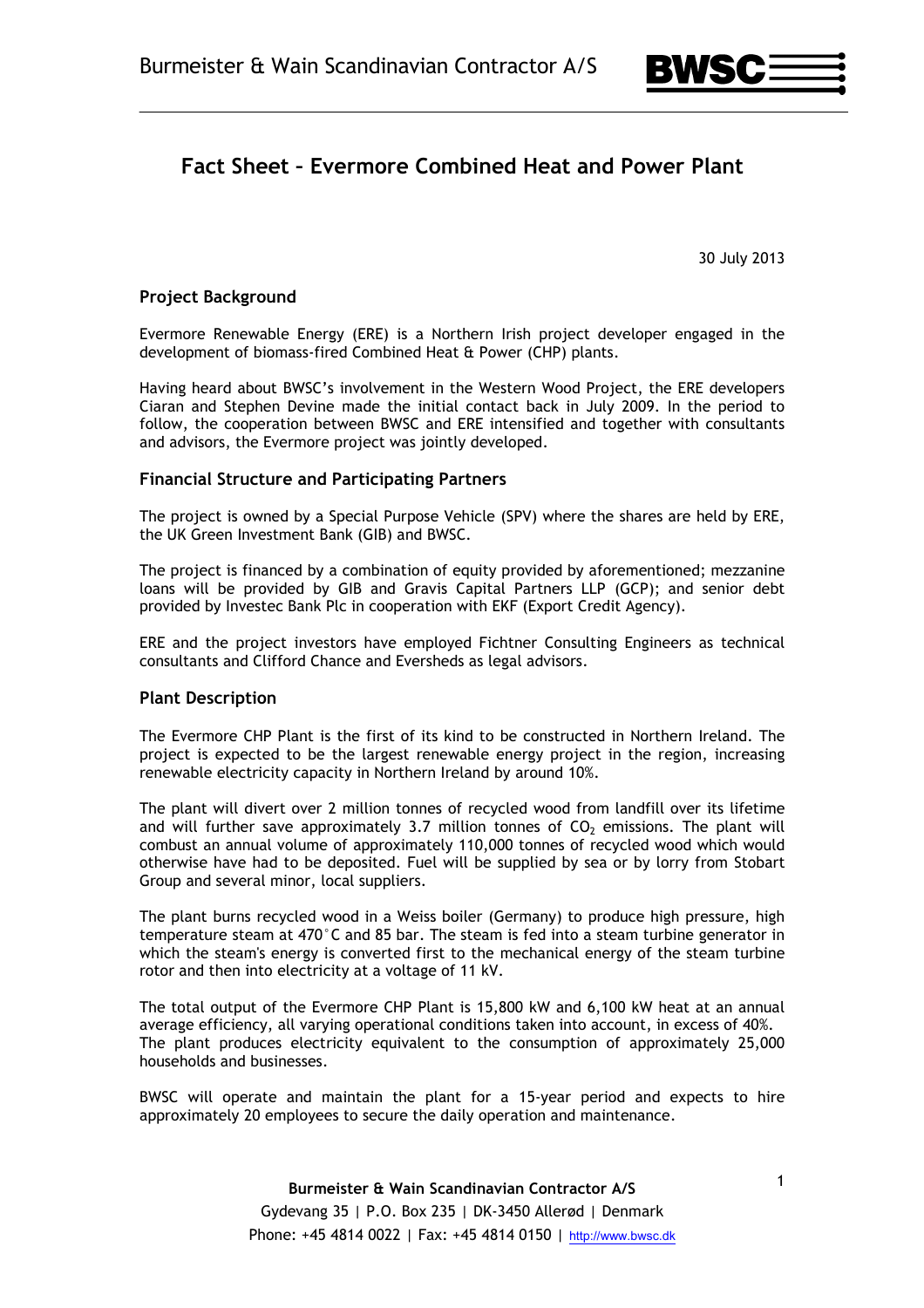

# **Fact Sheet – Evermore Combined Heat and Power Plant**

30 July 2013

### **Project Background**

Evermore Renewable Energy (ERE) is a Northern Irish project developer engaged in the development of biomass-fired Combined Heat & Power (CHP) plants.

Having heard about BWSC's involvement in the Western Wood Project, the ERE developers Ciaran and Stephen Devine made the initial contact back in July 2009. In the period to follow, the cooperation between BWSC and ERE intensified and together with consultants and advisors, the Evermore project was jointly developed.

#### **Financial Structure and Participating Partners**

The project is owned by a Special Purpose Vehicle (SPV) where the shares are held by ERE, the UK Green Investment Bank (GIB) and BWSC.

The project is financed by a combination of equity provided by aforementioned; mezzanine loans will be provided by GIB and Gravis Capital Partners LLP (GCP); and senior debt provided by Investec Bank Plc in cooperation with EKF (Export Credit Agency).

ERE and the project investors have employed Fichtner Consulting Engineers as technical consultants and Clifford Chance and Eversheds as legal advisors.

#### **Plant Description**

The Evermore CHP Plant is the first of its kind to be constructed in Northern Ireland. The project is expected to be the largest renewable energy project in the region, increasing renewable electricity capacity in Northern Ireland by around 10%.

The plant will divert over 2 million tonnes of recycled wood from landfill over its lifetime and will further save approximately  $3.7$  million tonnes of  $CO<sub>2</sub>$  emissions. The plant will combust an annual volume of approximately 110,000 tonnes of recycled wood which would otherwise have had to be deposited. Fuel will be supplied by sea or by lorry from Stobart Group and several minor, local suppliers.

The plant burns recycled wood in a Weiss boiler (Germany) to produce high pressure, high temperature steam at 470°C and 85 bar. The steam is fed into a steam turbine generator in which the steam's energy is converted first to the mechanical energy of the steam turbine rotor and then into electricity at a voltage of 11 kV.

The total output of the Evermore CHP Plant is 15,800 kW and 6,100 kW heat at an annual average efficiency, all varying operational conditions taken into account, in excess of 40%. The plant produces electricity equivalent to the consumption of approximately 25,000 households and businesses.

BWSC will operate and maintain the plant for a 15-year period and expects to hire approximately 20 employees to secure the daily operation and maintenance.